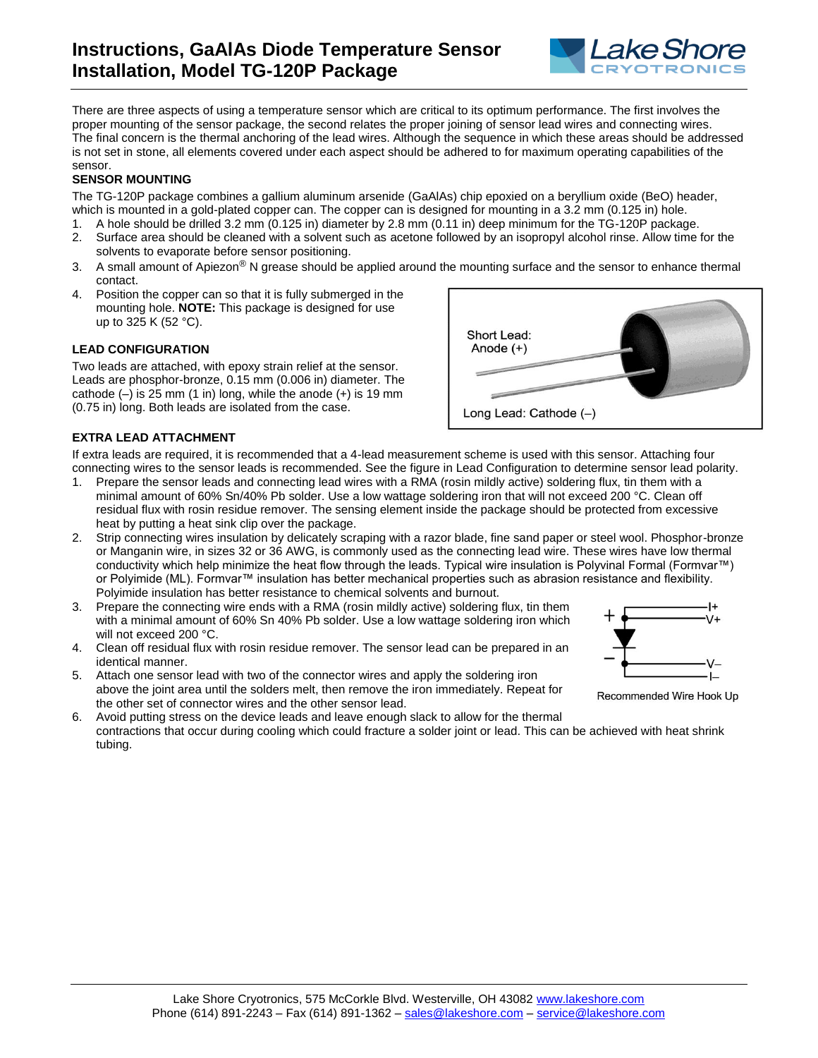

There are three aspects of using a temperature sensor which are critical to its optimum performance. The first involves the proper mounting of the sensor package, the second relates the proper joining of sensor lead wires and connecting wires. The final concern is the thermal anchoring of the lead wires. Although the sequence in which these areas should be addressed is not set in stone, all elements covered under each aspect should be adhered to for maximum operating capabilities of the sensor.

## **SENSOR MOUNTING**

The TG-120P package combines a gallium aluminum arsenide (GaAlAs) chip epoxied on a beryllium oxide (BeO) header, which is mounted in a gold-plated copper can. The copper can is designed for mounting in a 3.2 mm (0.125 in) hole.

- 1. A hole should be drilled 3.2 mm (0.125 in) diameter by 2.8 mm (0.11 in) deep minimum for the TG-120P package.
- 2. Surface area should be cleaned with a solvent such as acetone followed by an isopropyl alcohol rinse. Allow time for the solvents to evaporate before sensor positioning.
- 3. A small amount of Apiezon<sup>®</sup> N grease should be applied around the mounting surface and the sensor to enhance thermal contact.
- 4. Position the copper can so that it is fully submerged in the mounting hole. **NOTE:** This package is designed for use up to 325 K (52 °C).

## **LEAD CONFIGURATION**

Two leads are attached, with epoxy strain relief at the sensor. Leads are phosphor-bronze, 0.15 mm (0.006 in) diameter. The cathode  $(-)$  is 25 mm (1 in) long, while the anode  $(+)$  is 19 mm (0.75 in) long. Both leads are isolated from the case.

## **EXTRA LEAD ATTACHMENT**

If extra leads are required, it is recommended that a 4-lead measurement scheme is used with this sensor. Attaching four connecting wires to the sensor leads is recommended. See the figure in Lead Configuration to determine sensor lead polarity.

- 1. Prepare the sensor leads and connecting lead wires with a RMA (rosin mildly active) soldering flux, tin them with a minimal amount of 60% Sn/40% Pb solder. Use a low wattage soldering iron that will not exceed 200 °C. Clean off residual flux with rosin residue remover. The sensing element inside the package should be protected from excessive heat by putting a heat sink clip over the package.
- 2. Strip connecting wires insulation by delicately scraping with a razor blade, fine sand paper or steel wool. Phosphor-bronze or Manganin wire, in sizes 32 or 36 AWG, is commonly used as the connecting lead wire. These wires have low thermal conductivity which help minimize the heat flow through the leads. Typical wire insulation is Polyvinal Formal (Formvar™) or Polyimide (ML). Formvar™ insulation has better mechanical properties such as abrasion resistance and flexibility. Polyimide insulation has better resistance to chemical solvents and burnout.
- 3. Prepare the connecting wire ends with a RMA (rosin mildly active) soldering flux, tin them with a minimal amount of 60% Sn 40% Pb solder. Use a low wattage soldering iron which will not exceed 200 °C.
- 4. Clean off residual flux with rosin residue remover. The sensor lead can be prepared in an identical manner.
- 5. Attach one sensor lead with two of the connector wires and apply the soldering iron above the joint area until the solders melt, then remove the iron immediately. Repeat for the other set of connector wires and the other sensor lead.
- 6. Avoid putting stress on the device leads and leave enough slack to allow for the thermal contractions that occur during cooling which could fracture a solder joint or lead. This can be achieved with heat shrink tubing.





Recommended Wire Hook Up